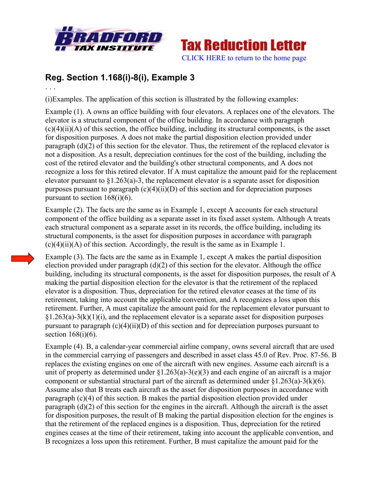



## **Reg. Section 1.168(i)-8(i), Example 3**

. . .

(i)Examples. The application of this section is illustrated by the following examples:

Example (1). A owns an office building with four elevators. A replaces one of the elevators. The elevator is a structural component of the office building. In accordance with paragraph  $(c)(4)(ii)(A)$  of this section, the office building, including its structural components, is the asset for disposition purposes. A does not make the partial disposition election provided under paragraph (d)(2) of this section for the elevator. Thus, the retirement of the replaced elevator is not a disposition. As a result, depreciation continues for the cost of the building, including the cost of the retired elevator and the building's other structural components, and A does not recognize a loss for this retired elevator. If A must capitalize the amount paid for the replacement elevator pursuant to  $\S1.263(a)$ -3, the replacement elevator is a separate asset for disposition purposes pursuant to paragraph  $(c)(4)(ii)(D)$  of this section and for depreciation purposes pursuant to section  $168(i)(6)$ .

Example (2). The facts are the same as in Example 1, except A accounts for each structural component of the office building as a separate asset in its fixed asset system. Although A treats each structural component as a separate asset in its records, the office building, including its structural components, is the asset for disposition purposes in accordance with paragraph  $(c)(4)(ii)(A)$  of this section. Accordingly, the result is the same as in Example 1.

Example (3). The facts are the same as in Example 1, except A makes the partial disposition election provided under paragraph  $(d)(2)$  of this section for the elevator. Although the office building, including its structural components, is the asset for disposition purposes, the result of A making the partial disposition election for the elevator is that the retirement of the replaced elevator is a disposition. Thus, depreciation for the retired elevator ceases at the time of its retirement, taking into account the applicable convention, and A recognizes a loss upon this retirement. Further, A must capitalize the amount paid for the replacement elevator pursuant to  $\S1.263(a)-3(k)(1)(i)$ , and the replacement elevator is a separate asset for disposition purposes pursuant to paragraph  $(c)(4)(ii)(D)$  of this section and for depreciation purposes pursuant to section  $168(i)(6)$ .

Example (4). B, a calendar-year commercial airline company, owns several aircraft that are used in the commercial carrying of passengers and described in asset class 45.0 of Rev. Proc. 87-56. B replaces the existing engines on one of the aircraft with new engines. Assume each aircraft is a unit of property as determined under  $\S1.263(a)-3(e)(3)$  and each engine of an aircraft is a major component or substantial structural part of the aircraft as determined under  $\S1.263(a)-3(k)(6)$ . Assume also that B treats each aircraft as the asset for disposition purposes in accordance with paragraph (c)(4) of this section. B makes the partial disposition election provided under paragraph (d)(2) of this section for the engines in the aircraft. Although the aircraft is the asset for disposition purposes, the result of B making the partial disposition election for the engines is that the retirement of the replaced engines is a disposition. Thus, depreciation for the retired engines ceases at the time of their retirement, taking into account the applicable convention, and B recognizes a loss upon this retirement. Further, B must capitalize the amount paid for the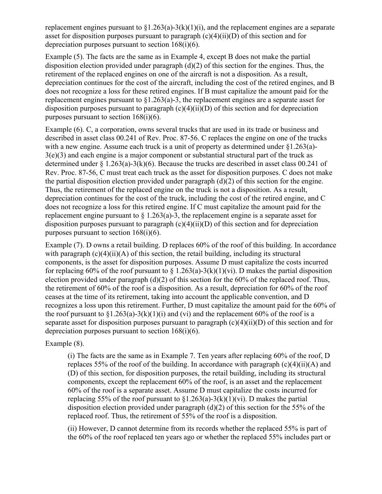replacement engines pursuant to  $\S1.263(a)-3(k)(1)(i)$ , and the replacement engines are a separate asset for disposition purposes pursuant to paragraph  $(c)(4)(ii)(D)$  of this section and for depreciation purposes pursuant to section 168(i)(6).

Example (5). The facts are the same as in Example 4, except B does not make the partial disposition election provided under paragraph (d)(2) of this section for the engines. Thus, the retirement of the replaced engines on one of the aircraft is not a disposition. As a result, depreciation continues for the cost of the aircraft, including the cost of the retired engines, and B does not recognize a loss for these retired engines. If B must capitalize the amount paid for the replacement engines pursuant to §1.263(a)-3, the replacement engines are a separate asset for disposition purposes pursuant to paragraph  $(c)(4)(ii)(D)$  of this section and for depreciation purposes pursuant to section 168(i)(6).

Example (6). C, a corporation, owns several trucks that are used in its trade or business and described in asset class 00.241 of Rev. Proc. 87-56. C replaces the engine on one of the trucks with a new engine. Assume each truck is a unit of property as determined under  $\S 1.263(a)$ -3(e)(3) and each engine is a major component or substantial structural part of the truck as determined under  $\S 1.263(a)-3(k)(6)$ . Because the trucks are described in asset class 00.241 of Rev. Proc. 87-56, C must treat each truck as the asset for disposition purposes. C does not make the partial disposition election provided under paragraph  $(d)(2)$  of this section for the engine. Thus, the retirement of the replaced engine on the truck is not a disposition. As a result, depreciation continues for the cost of the truck, including the cost of the retired engine, and C does not recognize a loss for this retired engine. If C must capitalize the amount paid for the replacement engine pursuant to  $\S 1.263(a)-3$ , the replacement engine is a separate asset for disposition purposes pursuant to paragraph  $(c)(4)(ii)(D)$  of this section and for depreciation purposes pursuant to section  $168(i)(6)$ .

Example (7). D owns a retail building. D replaces 60% of the roof of this building. In accordance with paragraph  $(c)(4)(ii)(A)$  of this section, the retail building, including its structural components, is the asset for disposition purposes. Assume D must capitalize the costs incurred for replacing 60% of the roof pursuant to  $\S 1.263(a)-3(k)(1)(vi)$ . D makes the partial disposition election provided under paragraph  $(d)(2)$  of this section for the 60% of the replaced roof. Thus, the retirement of 60% of the roof is a disposition. As a result, depreciation for 60% of the roof ceases at the time of its retirement, taking into account the applicable convention, and D recognizes a loss upon this retirement. Further, D must capitalize the amount paid for the 60% of the roof pursuant to  $\S1.263(a)-3(k)(1)(i)$  and (vi) and the replacement 60% of the roof is a separate asset for disposition purposes pursuant to paragraph (c)(4)(ii)(D) of this section and for depreciation purposes pursuant to section 168(i)(6).

Example (8).

(i) The facts are the same as in Example 7. Ten years after replacing 60% of the roof, D replaces 55% of the roof of the building. In accordance with paragraph  $(c)(4)(ii)(A)$  and (D) of this section, for disposition purposes, the retail building, including its structural components, except the replacement 60% of the roof, is an asset and the replacement 60% of the roof is a separate asset. Assume D must capitalize the costs incurred for replacing 55% of the roof pursuant to  $\S1.263(a)-3(k)(1)(vi)$ . D makes the partial disposition election provided under paragraph  $(d)(2)$  of this section for the 55% of the replaced roof. Thus, the retirement of 55% of the roof is a disposition.

(ii) However, D cannot determine from its records whether the replaced 55% is part of the 60% of the roof replaced ten years ago or whether the replaced 55% includes part or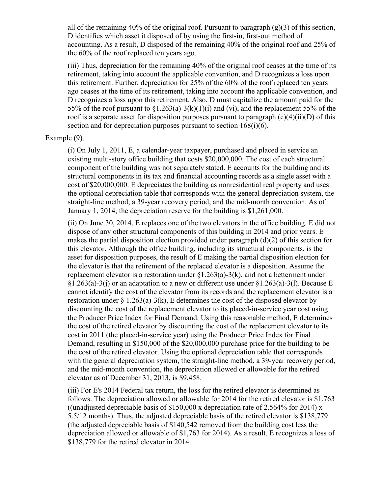all of the remaining 40% of the original roof. Pursuant to paragraph (g)(3) of this section, D identifies which asset it disposed of by using the first-in, first-out method of accounting. As a result, D disposed of the remaining 40% of the original roof and 25% of the 60% of the roof replaced ten years ago.

(iii) Thus, depreciation for the remaining 40% of the original roof ceases at the time of its retirement, taking into account the applicable convention, and D recognizes a loss upon this retirement. Further, depreciation for 25% of the 60% of the roof replaced ten years ago ceases at the time of its retirement, taking into account the applicable convention, and D recognizes a loss upon this retirement. Also, D must capitalize the amount paid for the 55% of the roof pursuant to  $\S1.263(a)-3(k)(1)(i)$  and (vi), and the replacement 55% of the roof is a separate asset for disposition purposes pursuant to paragraph  $(c)(4)(ii)(D)$  of this section and for depreciation purposes pursuant to section 168(i)(6).

## Example (9).

(i) On July 1, 2011, E, a calendar-year taxpayer, purchased and placed in service an existing multi-story office building that costs \$20,000,000. The cost of each structural component of the building was not separately stated. E accounts for the building and its structural components in its tax and financial accounting records as a single asset with a cost of \$20,000,000. E depreciates the building as nonresidential real property and uses the optional depreciation table that corresponds with the general depreciation system, the straight-line method, a 39-year recovery period, and the mid-month convention. As of January 1, 2014, the depreciation reserve for the building is \$1,261,000.

(ii) On June 30, 2014, E replaces one of the two elevators in the office building. E did not dispose of any other structural components of this building in 2014 and prior years. E makes the partial disposition election provided under paragraph (d)(2) of this section for this elevator. Although the office building, including its structural components, is the asset for disposition purposes, the result of E making the partial disposition election for the elevator is that the retirement of the replaced elevator is a disposition. Assume the replacement elevator is a restoration under §1.263(a)-3(k), and not a betterment under  $\S1.263(a)-3(i)$  or an adaptation to a new or different use under  $\S1.263(a)-3(i)$ . Because E cannot identify the cost of the elevator from its records and the replacement elevator is a restoration under  $\S 1.263(a)-3(k)$ , E determines the cost of the disposed elevator by discounting the cost of the replacement elevator to its placed-in-service year cost using the Producer Price Index for Final Demand. Using this reasonable method, E determines the cost of the retired elevator by discounting the cost of the replacement elevator to its cost in 2011 (the placed-in-service year) using the Producer Price Index for Final Demand, resulting in \$150,000 of the \$20,000,000 purchase price for the building to be the cost of the retired elevator. Using the optional depreciation table that corresponds with the general depreciation system, the straight-line method, a 39-year recovery period, and the mid-month convention, the depreciation allowed or allowable for the retired elevator as of December 31, 2013, is \$9,458.

(iii) For E's 2014 Federal tax return, the loss for the retired elevator is determined as follows. The depreciation allowed or allowable for 2014 for the retired elevator is \$1,763 ((unadjusted depreciable basis of \$150,000 x depreciation rate of 2.564% for 2014) x 5.5/12 months). Thus, the adjusted depreciable basis of the retired elevator is \$138,779 (the adjusted depreciable basis of \$140,542 removed from the building cost less the depreciation allowed or allowable of \$1,763 for 2014). As a result, E recognizes a loss of \$138,779 for the retired elevator in 2014.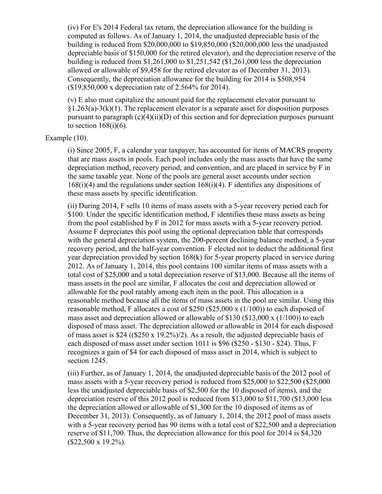(iv) For E's 2014 Federal tax return, the depreciation allowance for the building is computed as follows. As of January 1, 2014, the unadjusted depreciable basis of the building is reduced from \$20,000,000 to \$19,850,000 (\$20,000,000 less the unadjusted depreciable basis of \$150,000 for the retired elevator), and the depreciation reserve of the building is reduced from \$1,261,000 to \$1,251,542 (\$1,261,000 less the depreciation allowed or allowable of \$9,458 for the retired elevator as of December 31, 2013). Consequently, the depreciation allowance for the building for 2014 is \$508,954 (\$19,850,000 x depreciation rate of 2.564% for 2014).

(v) E also must capitalize the amount paid for the replacement elevator pursuant to  $\S1.263(a)-3(k)(1)$ . The replacement elevator is a separate asset for disposition purposes pursuant to paragraph  $(c)(4)(ii)(D)$  of this section and for depreciation purposes pursuant to section  $168(i)(6)$ .

## Example (10).

(i) Since 2005, F, a calendar year taxpayer, has accounted for items of MACRS property that are mass assets in pools. Each pool includes only the mass assets that have the same depreciation method, recovery period, and convention, and are placed in service by F in the same taxable year. None of the pools are general asset accounts under section 168(i)(4) and the regulations under section 168(i)(4). F identifies any dispositions of these mass assets by specific identification.

(ii) During 2014, F sells 10 items of mass assets with a 5-year recovery period each for \$100. Under the specific identification method, F identifies these mass assets as being from the pool established by F in 2012 for mass assets with a 5-year recovery period. Assume F depreciates this pool using the optional depreciation table that corresponds with the general depreciation system, the 200-percent declining balance method, a 5-year recovery period, and the half-year convention. F elected not to deduct the additional first year depreciation provided by section 168(k) for 5-year property placed in service during 2012. As of January 1, 2014, this pool contains 100 similar items of mass assets with a total cost of \$25,000 and a total depreciation reserve of \$13,000. Because all the items of mass assets in the pool are similar, F allocates the cost and depreciation allowed or allowable for the pool ratably among each item in the pool. This allocation is a reasonable method because all the items of mass assets in the pool are similar. Using this reasonable method, F allocates a cost of \$250 (\$25,000 x (1/100)) to each disposed of mass asset and depreciation allowed or allowable of \$130 (\$13,000 x (1/100)) to each disposed of mass asset. The depreciation allowed or allowable in 2014 for each disposed of mass asset is \$24 ( $(\$250 \times 19.2\%)$ ). As a result, the adjusted depreciable basis of each disposed of mass asset under section 1011 is \$96 (\$250 - \$130 - \$24). Thus, F recognizes a gain of \$4 for each disposed of mass asset in 2014, which is subject to section 1245.

(iii) Further, as of January 1, 2014, the unadjusted depreciable basis of the 2012 pool of mass assets with a 5-year recovery period is reduced from \$25,000 to \$22,500 (\$25,000 less the unadjusted depreciable basis of \$2,500 for the 10 disposed of items), and the depreciation reserve of this 2012 pool is reduced from \$13,000 to \$11,700 (\$13,000 less the depreciation allowed or allowable of \$1,300 for the 10 disposed of items as of December 31, 2013). Consequently, as of January 1, 2014, the 2012 pool of mass assets with a 5-year recovery period has 90 items with a total cost of \$22,500 and a depreciation reserve of \$11,700. Thus, the depreciation allowance for this pool for 2014 is \$4,320  $($22,500 \times 19.2\%)$ .